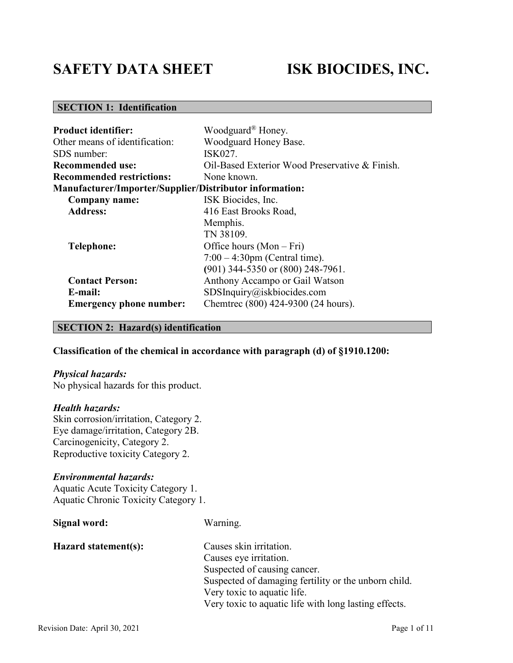# **SAFETY DATA SHEET ISK BIOCIDES, INC.**

# **SECTION 1: Identification**

| <b>Product identifier:</b>                                     | Woodguard <sup>®</sup> Honey.                  |  |  |
|----------------------------------------------------------------|------------------------------------------------|--|--|
| Other means of identification:                                 | Woodguard Honey Base.                          |  |  |
| SDS number:                                                    | ISK027.                                        |  |  |
| <b>Recommended use:</b>                                        | Oil-Based Exterior Wood Preservative & Finish. |  |  |
| <b>Recommended restrictions:</b>                               | None known.                                    |  |  |
| <b>Manufacturer/Importer/Supplier/Distributor information:</b> |                                                |  |  |
| Company name:                                                  | ISK Biocides, Inc.                             |  |  |
| <b>Address:</b>                                                | 416 East Brooks Road,                          |  |  |
|                                                                | Memphis.                                       |  |  |
|                                                                | TN 38109.                                      |  |  |
| Telephone:                                                     | Office hours $(Mon-Fri)$                       |  |  |
|                                                                | $7:00 - 4:30$ pm (Central time).               |  |  |
|                                                                | (901) 344-5350 or (800) 248-7961.              |  |  |
| <b>Contact Person:</b>                                         | Anthony Accampo or Gail Watson                 |  |  |
| E-mail:                                                        | SDSInquiry@iskbiocides.com                     |  |  |
| <b>Emergency phone number:</b>                                 | Chemtrec (800) 424-9300 (24 hours).            |  |  |

#### **SECTION 2: Hazard(s) identification**

### **Classification of the chemical in accordance with paragraph (d) of §1910.1200:**

#### *Physical hazards:*

No physical hazards for this product.

#### *Health hazards:*

Skin corrosion/irritation, Category 2. Eye damage/irritation, Category 2B. Carcinogenicity, Category 2. Reproductive toxicity Category 2.

#### *Environmental hazards:*

Aquatic Acute Toxicity Category 1. Aquatic Chronic Toxicity Category 1.

| Signal word:         | Warning.                                              |
|----------------------|-------------------------------------------------------|
| Hazard statement(s): | Causes skin irritation.                               |
|                      | Causes eye irritation.                                |
|                      | Suspected of causing cancer.                          |
|                      | Suspected of damaging fertility or the unborn child.  |
|                      | Very toxic to aquatic life.                           |
|                      | Very toxic to aquatic life with long lasting effects. |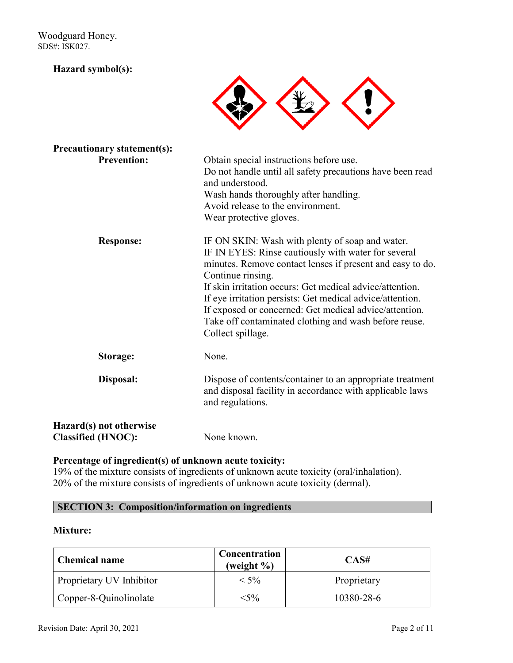Woodguard Honey. SDS#: ISK027.

#### **Hazard symbol(s):**



| <b>Precautionary statement(s):</b>                   |                                                                                                                                                                                                                                                                                                                                                                                                                                                           |
|------------------------------------------------------|-----------------------------------------------------------------------------------------------------------------------------------------------------------------------------------------------------------------------------------------------------------------------------------------------------------------------------------------------------------------------------------------------------------------------------------------------------------|
| <b>Prevention:</b>                                   | Obtain special instructions before use.<br>Do not handle until all safety precautions have been read<br>and understood.<br>Wash hands thoroughly after handling.<br>Avoid release to the environment.<br>Wear protective gloves.                                                                                                                                                                                                                          |
| <b>Response:</b>                                     | IF ON SKIN: Wash with plenty of soap and water.<br>IF IN EYES: Rinse cautiously with water for several<br>minutes. Remove contact lenses if present and easy to do.<br>Continue rinsing.<br>If skin irritation occurs: Get medical advice/attention.<br>If eye irritation persists: Get medical advice/attention.<br>If exposed or concerned: Get medical advice/attention.<br>Take off contaminated clothing and wash before reuse.<br>Collect spillage. |
| Storage:                                             | None.                                                                                                                                                                                                                                                                                                                                                                                                                                                     |
| Disposal:                                            | Dispose of contents/container to an appropriate treatment<br>and disposal facility in accordance with applicable laws<br>and regulations.                                                                                                                                                                                                                                                                                                                 |
| Hazard(s) not otherwise<br><b>Classified (HNOC):</b> | None known.                                                                                                                                                                                                                                                                                                                                                                                                                                               |

#### **Percentage of ingredient(s) of unknown acute toxicity:**

19% of the mixture consists of ingredients of unknown acute toxicity (oral/inhalation). 20% of the mixture consists of ingredients of unknown acute toxicity (dermal).

#### **SECTION 3: Composition/information on ingredients**

#### **Mixture:**

| <b>Chemical name</b>     | Concentration<br>(weight $\%$ ) | CAS#        |
|--------------------------|---------------------------------|-------------|
| Proprietary UV Inhibitor | $< 5\%$                         | Proprietary |
| Copper-8-Quinolinolate   | $<$ 5%                          | 10380-28-6  |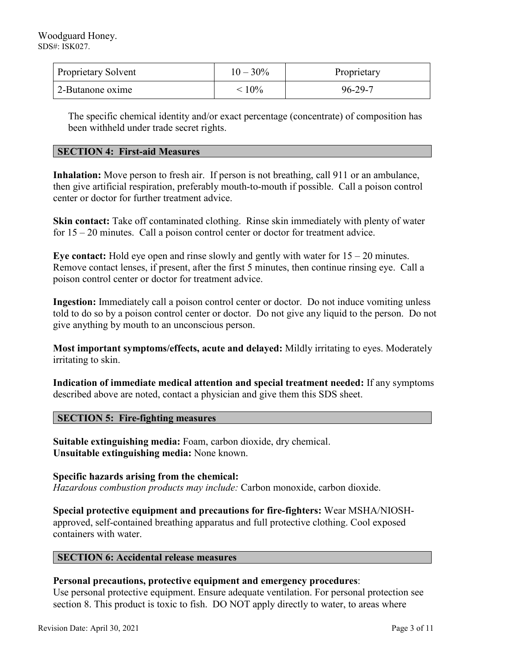| <b>Proprietary Solvent</b> | $10 - 30\%$ | Proprietary |
|----------------------------|-------------|-------------|
| 2-Butanone oxime           | $< 10\%$    | 96-29-7     |

The specific chemical identity and/or exact percentage (concentrate) of composition has been withheld under trade secret rights.

#### **SECTION 4: First-aid Measures**

**Inhalation:** Move person to fresh air. If person is not breathing, call 911 or an ambulance, then give artificial respiration, preferably mouth-to-mouth if possible. Call a poison control center or doctor for further treatment advice.

**Skin contact:** Take off contaminated clothing. Rinse skin immediately with plenty of water for 15 – 20 minutes. Call a poison control center or doctor for treatment advice.

**Eye contact:** Hold eye open and rinse slowly and gently with water for 15 – 20 minutes. Remove contact lenses, if present, after the first 5 minutes, then continue rinsing eye. Call a poison control center or doctor for treatment advice.

**Ingestion:** Immediately call a poison control center or doctor. Do not induce vomiting unless told to do so by a poison control center or doctor. Do not give any liquid to the person. Do not give anything by mouth to an unconscious person.

**Most important symptoms/effects, acute and delayed:** Mildly irritating to eyes. Moderately irritating to skin.

**Indication of immediate medical attention and special treatment needed:** If any symptoms described above are noted, contact a physician and give them this SDS sheet.

#### **SECTION 5: Fire-fighting measures**

**Suitable extinguishing media:** Foam, carbon dioxide, dry chemical. **Unsuitable extinguishing media:** None known.

**Specific hazards arising from the chemical:** *Hazardous combustion products may include:* Carbon monoxide, carbon dioxide.

**Special protective equipment and precautions for fire-fighters:** Wear MSHA/NIOSHapproved, self-contained breathing apparatus and full protective clothing. Cool exposed containers with water.

#### **SECTION 6: Accidental release measures**

#### **Personal precautions, protective equipment and emergency procedures**:

Use personal protective equipment. Ensure adequate ventilation. For personal protection see section 8. This product is toxic to fish. DO NOT apply directly to water, to areas where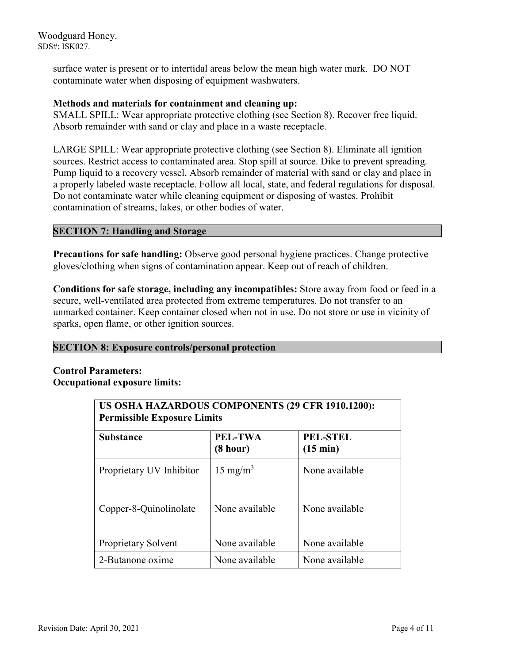Woodguard Honey. SDS#: ISK027.

> surface water is present or to intertidal areas below the mean high water mark. DO NOT contaminate water when disposing of equipment washwaters.

#### **Methods and materials for containment and cleaning up:**

SMALL SPILL: Wear appropriate protective clothing (see Section 8). Recover free liquid. Absorb remainder with sand or clay and place in a waste receptacle.

LARGE SPILL: Wear appropriate protective clothing (see Section 8). Eliminate all ignition sources. Restrict access to contaminated area. Stop spill at source. Dike to prevent spreading. Pump liquid to a recovery vessel. Absorb remainder of material with sand or clay and place in a properly labeled waste receptacle. Follow all local, state, and federal regulations for disposal. Do not contaminate water while cleaning equipment or disposing of wastes. Prohibit contamination of streams, lakes, or other bodies of water.

#### **SECTION 7: Handling and Storage**

**Precautions for safe handling:** Observe good personal hygiene practices. Change protective gloves/clothing when signs of contamination appear. Keep out of reach of children.

**Conditions for safe storage, including any incompatibles:** Store away from food or feed in a secure, well-ventilated area protected from extreme temperatures. Do not transfer to an unmarked container. Keep container closed when not in use. Do not store or use in vicinity of sparks, open flame, or other ignition sources.

#### **SECTION 8: Exposure controls/personal protection**

#### **Control Parameters: Occupational exposure limits:**

| US OSHA HAZARDOUS COMPONENTS (29 CFR 1910.1200):<br><b>Permissible Exposure Limits</b> |                     |                                       |  |
|----------------------------------------------------------------------------------------|---------------------|---------------------------------------|--|
| <b>Substance</b>                                                                       | PEL-TWA<br>(8 hour) | <b>PEL-STEL</b><br>$(15 \text{ min})$ |  |
| Proprietary UV Inhibitor                                                               | $15 \text{ mg/m}^3$ | None available                        |  |
| Copper-8-Quinolinolate                                                                 | None available      | None available                        |  |
| Proprietary Solvent                                                                    | None available      | None available                        |  |
| 2-Butanone oxime                                                                       | None available      | None available                        |  |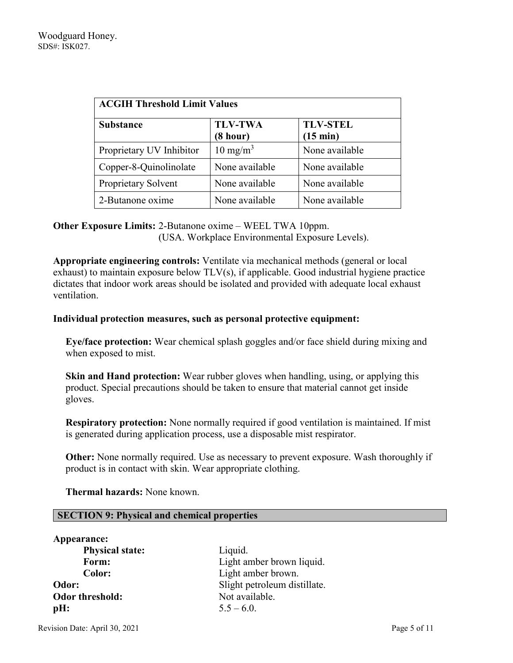| <b>ACGIH Threshold Limit Values</b> |                            |                                       |  |
|-------------------------------------|----------------------------|---------------------------------------|--|
| <b>Substance</b>                    | <b>TLV-TWA</b><br>(8 hour) | <b>TLV-STEL</b><br>$(15 \text{ min})$ |  |
| Proprietary UV Inhibitor            | $10 \text{ mg/m}^3$        | None available                        |  |
| Copper-8-Quinolinolate              | None available             | None available                        |  |
| Proprietary Solvent                 | None available             | None available                        |  |
| 2-Butanone oxime                    | None available             | None available                        |  |

# **Other Exposure Limits:** 2-Butanone oxime – WEEL TWA 10ppm. (USA. Workplace Environmental Exposure Levels).

**Appropriate engineering controls:** Ventilate via mechanical methods (general or local exhaust) to maintain exposure below TLV(s), if applicable. Good industrial hygiene practice dictates that indoor work areas should be isolated and provided with adequate local exhaust ventilation.

#### **Individual protection measures, such as personal protective equipment:**

**Eye/face protection:** Wear chemical splash goggles and/or face shield during mixing and when exposed to mist.

**Skin and Hand protection:** Wear rubber gloves when handling, using, or applying this product. Special precautions should be taken to ensure that material cannot get inside gloves.

**Respiratory protection:** None normally required if good ventilation is maintained. If mist is generated during application process, use a disposable mist respirator.

**Other:** None normally required. Use as necessary to prevent exposure. Wash thoroughly if product is in contact with skin. Wear appropriate clothing.

 **Thermal hazards:** None known.

#### **SECTION 9: Physical and chemical properties**

| Appearance:            |                              |
|------------------------|------------------------------|
| <b>Physical state:</b> | Liquid.                      |
| Form:                  | Light amber brown liquid.    |
| Color:                 | Light amber brown.           |
| Odor:                  | Slight petroleum distillate. |
| <b>Odor threshold:</b> | Not available.               |
| pH:                    | $5.5 - 6.0$ .                |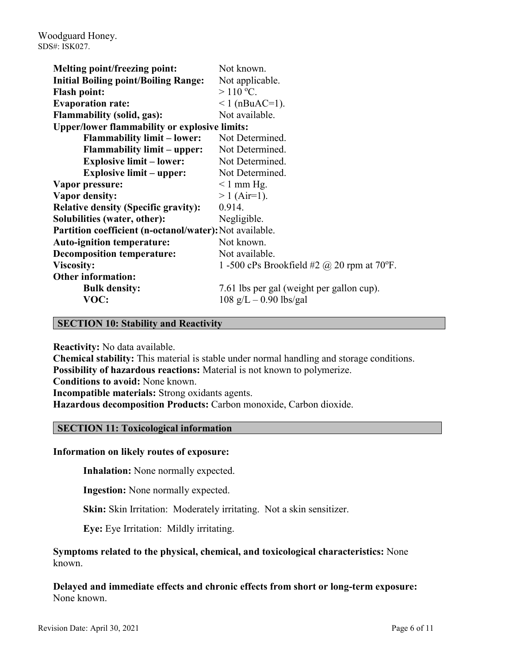| <b>Melting point/freezing point:</b>                    | Not known.                                        |
|---------------------------------------------------------|---------------------------------------------------|
| <b>Initial Boiling point/Boiling Range:</b>             | Not applicable.                                   |
| <b>Flash point:</b>                                     | $>110$ °C.                                        |
| <b>Evaporation rate:</b>                                | $1$ (nBuAC=1).                                    |
| <b>Flammability (solid, gas):</b>                       | Not available.                                    |
| <b>Upper/lower flammability or explosive limits:</b>    |                                                   |
| <b>Flammability limit – lower:</b>                      | Not Determined.                                   |
| <b>Flammability limit – upper:</b>                      | Not Determined.                                   |
| <b>Explosive limit – lower:</b>                         | Not Determined.                                   |
| <b>Explosive limit – upper:</b>                         | Not Determined.                                   |
| Vapor pressure:                                         | $\leq 1$ mm Hg.                                   |
| <b>Vapor density:</b>                                   | $> 1$ (Air=1).                                    |
| <b>Relative density (Specific gravity):</b>             | 0.914.                                            |
| Solubilities (water, other):                            | Negligible.                                       |
| Partition coefficient (n-octanol/water): Not available. |                                                   |
| <b>Auto-ignition temperature:</b>                       | Not known.                                        |
| <b>Decomposition temperature:</b>                       | Not available.                                    |
| <b>Viscosity:</b>                                       | 1 -500 cPs Brookfield #2 $\omega$ 20 rpm at 70°F. |
| <b>Other information:</b>                               |                                                   |
| <b>Bulk density:</b>                                    | 7.61 lbs per gal (weight per gallon cup).         |
| VOC:                                                    | $108 \text{ g/L} - 0.90 \text{ lbs/gal}$          |
|                                                         |                                                   |

#### **SECTION 10: Stability and Reactivity**

**Reactivity:** No data available.

**Chemical stability:** This material is stable under normal handling and storage conditions. **Possibility of hazardous reactions:** Material is not known to polymerize. **Conditions to avoid:** None known. **Incompatible materials:** Strong oxidants agents. **Hazardous decomposition Products:** Carbon monoxide, Carbon dioxide.

#### **SECTION 11: Toxicological information**

#### **Information on likely routes of exposure:**

**Inhalation:** None normally expected.

**Ingestion:** None normally expected.

**Skin:** Skin Irritation: Moderately irritating. Not a skin sensitizer.

**Eye:** Eye Irritation: Mildly irritating.

**Symptoms related to the physical, chemical, and toxicological characteristics:** None known.

**Delayed and immediate effects and chronic effects from short or long-term exposure:** None known.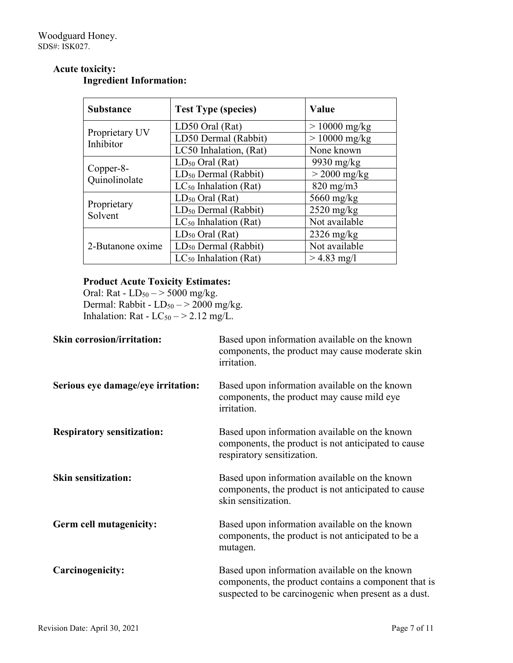#### **Substance Test Type (species) Value** Proprietary UV Inhibitor LD50 Oral (Rat)  $| > 10000$  mg/kg LD50 Dermal (Rabbit)  $| > 10000$  mg/kg LC50 Inhalation, (Rat) None known Copper-8- Quinolinolate  $LD_{50}$  Oral (Rat) 9930 mg/kg  $LD_{50}$  Dermal (Rabbit)  $\vert > 2000$  mg/kg  $LC_{50}$  Inhalation (Rat) 820 mg/m3 Proprietary Solvent  $LD_{50}$  Oral (Rat)  $5660$  mg/kg LD50 Dermal (Rabbit) 2520 mg/kg  $LC_{50}$  Inhalation (Rat) Not available 2-Butanone oxime  $LD_{50}$  Oral (Rat) 2326 mg/kg  $LD_{50}$  Dermal (Rabbit) Not available  $LC_{50}$  Inhalation (Rat)  $> 4.83$  mg/l

#### **Acute toxicity: Ingredient Information:**

# **Product Acute Toxicity Estimates:**

Oral: Rat -  $LD_{50} \rightarrow 5000$  mg/kg. Dermal: Rabbit -  $LD_{50} \rightarrow 2000$  mg/kg. Inhalation: Rat -  $LC_{50}$   $\rightarrow$  2.12 mg/L.

| <b>Skin corrosion/irritation:</b>  | Based upon information available on the known<br>components, the product may cause moderate skin<br>irritation.                                               |
|------------------------------------|---------------------------------------------------------------------------------------------------------------------------------------------------------------|
| Serious eye damage/eye irritation: | Based upon information available on the known<br>components, the product may cause mild eye<br>irritation.                                                    |
| <b>Respiratory sensitization:</b>  | Based upon information available on the known<br>components, the product is not anticipated to cause<br>respiratory sensitization.                            |
| <b>Skin sensitization:</b>         | Based upon information available on the known<br>components, the product is not anticipated to cause<br>skin sensitization.                                   |
| Germ cell mutagenicity:            | Based upon information available on the known<br>components, the product is not anticipated to be a<br>mutagen.                                               |
| Carcinogenicity:                   | Based upon information available on the known<br>components, the product contains a component that is<br>suspected to be carcinogenic when present as a dust. |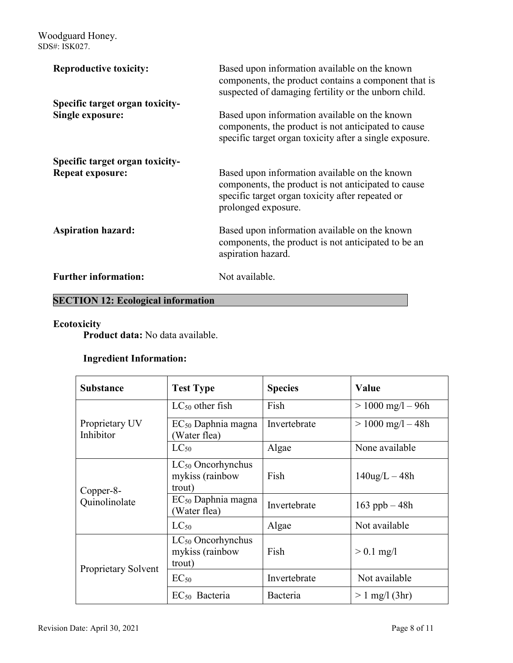| <b>Reproductive toxicity:</b>                              | Based upon information available on the known<br>components, the product contains a component that is<br>suspected of damaging fertility or the unborn child.                   |
|------------------------------------------------------------|---------------------------------------------------------------------------------------------------------------------------------------------------------------------------------|
| Specific target organ toxicity-<br><b>Single exposure:</b> | Based upon information available on the known<br>components, the product is not anticipated to cause<br>specific target organ toxicity after a single exposure.                 |
| Specific target organ toxicity-<br><b>Repeat exposure:</b> | Based upon information available on the known<br>components, the product is not anticipated to cause<br>specific target organ toxicity after repeated or<br>prolonged exposure. |
| <b>Aspiration hazard:</b>                                  | Based upon information available on the known<br>components, the product is not anticipated to be an<br>aspiration hazard.                                                      |
| <b>Further information:</b>                                | Not available.                                                                                                                                                                  |

# **SECTION 12: Ecological information**

# **Ecotoxicity**

**Product data:** No data available.

# **Ingredient Information:**

| <b>Substance</b>            | <b>Test Type</b>                                    | <b>Species</b> | Value                 |
|-----------------------------|-----------------------------------------------------|----------------|-----------------------|
|                             | $LC_{50}$ other fish                                | Fish           | $> 1000$ mg/l $- 96h$ |
| Proprietary UV<br>Inhibitor | $EC_{50}$ Daphnia magna<br>Water flea)              | Invertebrate   | $> 1000$ mg/l $- 48h$ |
|                             | $LC_{50}$                                           | Algae          | None available        |
| Copper-8-<br>Quinolinolate  | $LC_{50}$ Oncorhynchus<br>mykiss (rainbow<br>trout) | Fish           | $140$ ug/L $-48h$     |
|                             | $EC_{50}$ Daphnia magna<br>Water flea)              | Invertebrate   | 163 ppb $-48h$        |
|                             | $LC_{50}$                                           | Algae          | Not available         |
| Proprietary Solvent         | $LC_{50}$ Oncorhynchus<br>mykiss (rainbow<br>trout) | Fish           | $> 0.1$ mg/l          |
|                             | $EC_{50}$                                           | Invertebrate   | Not available         |
|                             | $EC_{50}$ Bacteria                                  | Bacteria       | $> 1$ mg/l (3hr)      |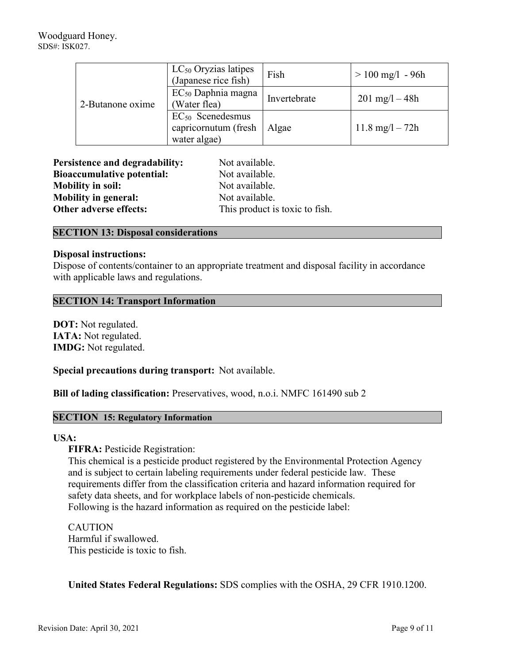| 2-Butanone oxime | $LC_{50}$ Oryzias latipes<br>(Japanese rice fish)             | Fish         | $> 100$ mg/l - 96h        |
|------------------|---------------------------------------------------------------|--------------|---------------------------|
|                  | $EC_{50}$ Daphnia magna<br>(Water flea)                       | Invertebrate | $201 \text{ mg}/1 - 48h$  |
|                  | $EC_{50}$ Scenedesmus<br>capricornutum (fresh<br>water algae) | Algae        | $11.8 \text{ mg}/1 - 72h$ |

| <b>Persistence and degradability:</b> | Not available.                 |
|---------------------------------------|--------------------------------|
| <b>Bioaccumulative potential:</b>     | Not available.                 |
| <b>Mobility in soil:</b>              | Not available.                 |
| <b>Mobility in general:</b>           | Not available.                 |
| Other adverse effects:                | This product is toxic to fish. |

#### **SECTION 13: Disposal considerations**

#### **Disposal instructions:**

Dispose of contents/container to an appropriate treatment and disposal facility in accordance with applicable laws and regulations.

#### **SECTION 14: Transport Information**

**DOT:** Not regulated. **IATA:** Not regulated. **IMDG:** Not regulated.

**Special precautions during transport:** Not available.

**Bill of lading classification:** Preservatives, wood, n.o.i. NMFC 161490 sub 2

#### **SECTION 15: Regulatory Information**

#### **USA:**

**FIFRA: Pesticide Registration:** 

This chemical is a pesticide product registered by the Environmental Protection Agency and is subject to certain labeling requirements under federal pesticide law. These requirements differ from the classification criteria and hazard information required for safety data sheets, and for workplace labels of non-pesticide chemicals. Following is the hazard information as required on the pesticide label:

CAUTION Harmful if swallowed. This pesticide is toxic to fish.

**United States Federal Regulations:** SDS complies with the OSHA, 29 CFR 1910.1200.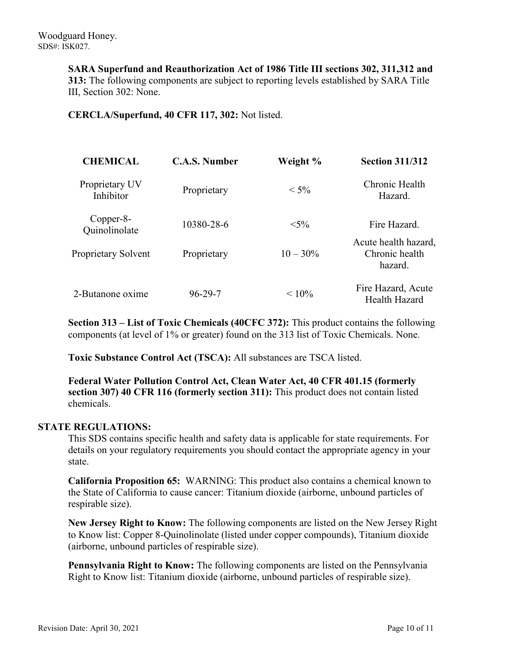**SARA Superfund and Reauthorization Act of 1986 Title III sections 302, 311,312 and 313:** The following components are subject to reporting levels established by SARA Title III, Section 302: None.

**CERCLA/Superfund, 40 CFR 117, 302:** Not listed.

| <b>CHEMICAL</b>             | <b>C.A.S. Number</b> | Weight %    | <b>Section 311/312</b>                            |
|-----------------------------|----------------------|-------------|---------------------------------------------------|
| Proprietary UV<br>Inhibitor | Proprietary          | $< 5\%$     | Chronic Health<br>Hazard.                         |
| Copper-8-<br>Quinolinolate  | 10380-28-6           | $< 5\%$     | Fire Hazard.                                      |
| Proprietary Solvent         | Proprietary          | $10 - 30\%$ | Acute health hazard,<br>Chronic health<br>hazard. |
| 2-Butanone oxime            | $96 - 29 - 7$        | $< 10\%$    | Fire Hazard, Acute<br>Health Hazard               |

**Section 313 – List of Toxic Chemicals (40CFC 372):** This product contains the following components (at level of 1% or greater) found on the 313 list of Toxic Chemicals. None.

**Toxic Substance Control Act (TSCA):** All substances are TSCA listed.

**Federal Water Pollution Control Act, Clean Water Act, 40 CFR 401.15 (formerly section 307) 40 CFR 116 (formerly section 311):** This product does not contain listed chemicals.

#### **STATE REGULATIONS:**

This SDS contains specific health and safety data is applicable for state requirements. For details on your regulatory requirements you should contact the appropriate agency in your state.

**California Proposition 65:** WARNING: This product also contains a chemical known to the State of California to cause cancer: Titanium dioxide (airborne, unbound particles of respirable size).

**New Jersey Right to Know:** The following components are listed on the New Jersey Right to Know list: Copper 8-Quinolinolate (listed under copper compounds), Titanium dioxide (airborne, unbound particles of respirable size).

**Pennsylvania Right to Know:** The following components are listed on the Pennsylvania Right to Know list: Titanium dioxide (airborne, unbound particles of respirable size).